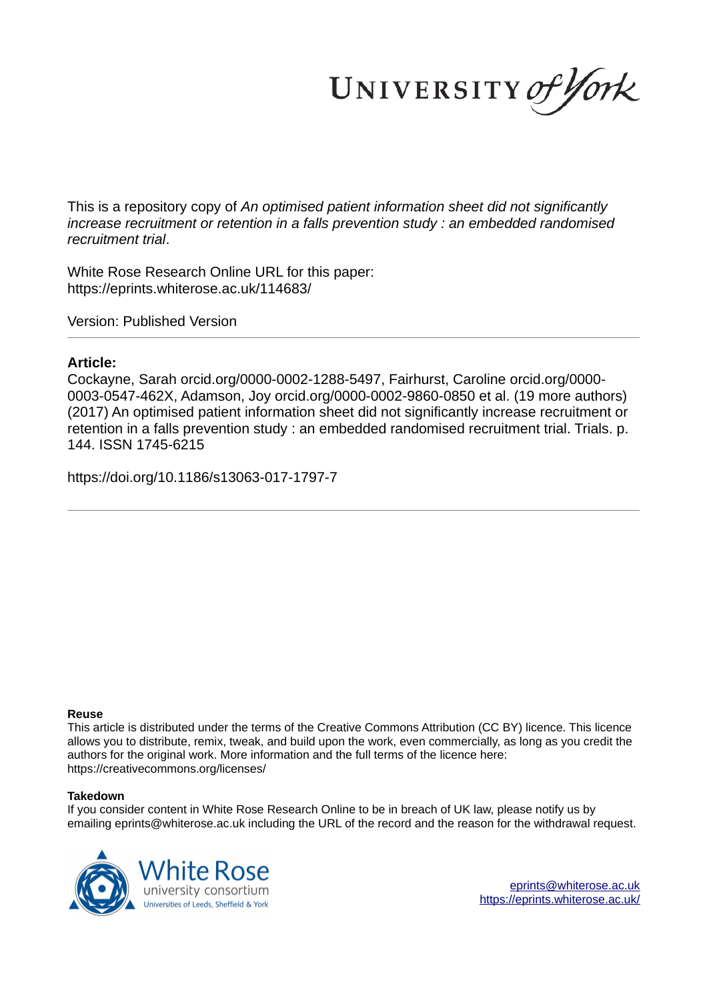UNIVERSITY of York

This is a repository copy of *An optimised patient information sheet did not significantly increase recruitment or retention in a falls prevention study : an embedded randomised recruitment trial*.

White Rose Research Online URL for this paper: https://eprints.whiterose.ac.uk/114683/

Version: Published Version

# **Article:**

Cockayne, Sarah orcid.org/0000-0002-1288-5497, Fairhurst, Caroline orcid.org/0000- 0003-0547-462X, Adamson, Joy orcid.org/0000-0002-9860-0850 et al. (19 more authors) (2017) An optimised patient information sheet did not significantly increase recruitment or retention in a falls prevention study : an embedded randomised recruitment trial. Trials. p. 144. ISSN 1745-6215

https://doi.org/10.1186/s13063-017-1797-7

# **Reuse**

This article is distributed under the terms of the Creative Commons Attribution (CC BY) licence. This licence allows you to distribute, remix, tweak, and build upon the work, even commercially, as long as you credit the authors for the original work. More information and the full terms of the licence here: https://creativecommons.org/licenses/

# **Takedown**

If you consider content in White Rose Research Online to be in breach of UK law, please notify us by emailing eprints@whiterose.ac.uk including the URL of the record and the reason for the withdrawal request.

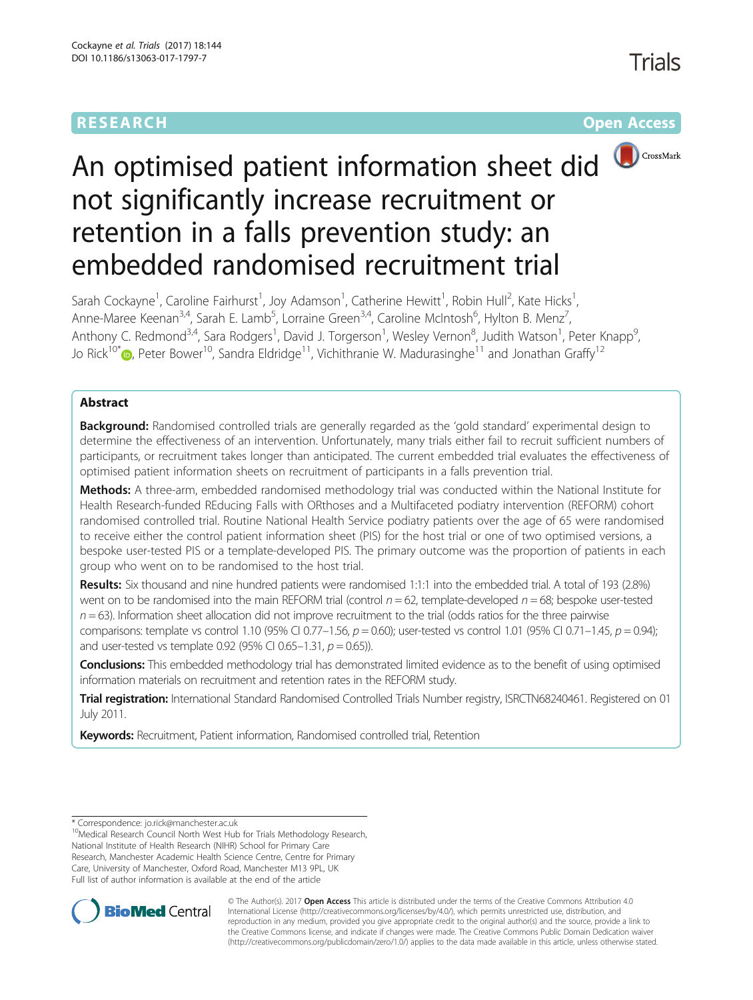# **RESEARCH CHEAR CHEAR CHEAR CHEAR CHEAR CHEAR CHEAR CHEAR CHEAR CHEAR CHEAR CHEAR CHEAR CHEAR CHEAR CHEAR CHEAR**



# An optimised patient information sheet did not significantly increase recruitment or retention in a falls prevention study: an embedded randomised recruitment trial

Sarah Cockayne<sup>1</sup>, Caroline Fairhurst<sup>1</sup>, Joy Adamson<sup>1</sup>, Catherine Hewitt<sup>1</sup>, Robin Hull<sup>2</sup>, Kate Hicks<sup>1</sup> , Anne-Maree Keenan<sup>3,4</sup>, Sarah E. Lamb<sup>5</sup>, Lorraine Green<sup>3,4</sup>, Caroline McIntosh<sup>6</sup>, Hylton B. Menz<sup>7</sup> , Anthony C. Redmond<sup>3,4</sup>, Sara Rodgers<sup>1</sup>, David J. Torgerson<sup>1</sup>, Wesley Vernon<sup>8</sup>, Judith Watson<sup>1</sup>, Peter Knapp<sup>9</sup> , Jo Rick<sup>10\*</sup> <sub>(b</sub>[,](http://orcid.org/0000-0002-4659-8111) Peter Bower<sup>10</sup>, Sandra Eldridge<sup>11</sup>, Vichithranie W. Madurasinghe<sup>11</sup> and Jonathan Graffy<sup>12</sup>

# Abstract

**Background:** Randomised controlled trials are generally regarded as the 'gold standard' experimental design to determine the effectiveness of an intervention. Unfortunately, many trials either fail to recruit sufficient numbers of participants, or recruitment takes longer than anticipated. The current embedded trial evaluates the effectiveness of optimised patient information sheets on recruitment of participants in a falls prevention trial.

Methods: A three-arm, embedded randomised methodology trial was conducted within the National Institute for Health Research-funded REducing Falls with ORthoses and a Multifaceted podiatry intervention (REFORM) cohort randomised controlled trial. Routine National Health Service podiatry patients over the age of 65 were randomised to receive either the control patient information sheet (PIS) for the host trial or one of two optimised versions, a bespoke user-tested PIS or a template-developed PIS. The primary outcome was the proportion of patients in each group who went on to be randomised to the host trial.

Results: Six thousand and nine hundred patients were randomised 1:1:1 into the embedded trial. A total of 193 (2.8%) went on to be randomised into the main REFORM trial (control  $n = 62$ , template-developed  $n = 68$ ; bespoke user-tested  $n = 63$ ). Information sheet allocation did not improve recruitment to the trial (odds ratios for the three pairwise comparisons: template vs control 1.10 (95% CI 0.77–1.56,  $p = 0.60$ ); user-tested vs control 1.01 (95% CI 0.71–1.45,  $p = 0.94$ ); and user-tested vs template 0.92 (95% CI 0.65–1.31,  $p = 0.65$ )).

Conclusions: This embedded methodology trial has demonstrated limited evidence as to the benefit of using optimised information materials on recruitment and retention rates in the REFORM study.

Trial registration: International Standard Randomised Controlled Trials Number registry, [ISRCTN68240461.](http://www.isrctn.com/ISRCTN68240461) Registered on 01 July 2011.

Keywords: Recruitment, Patient information, Randomised controlled trial, Retention

<sup>10</sup>Medical Research Council North West Hub for Trials Methodology Research, National Institute of Health Research (NIHR) School for Primary Care Research, Manchester Academic Health Science Centre, Centre for Primary Care, University of Manchester, Oxford Road, Manchester M13 9PL, UK Full list of author information is available at the end of the article



© The Author(s). 2017 **Open Access** This article is distributed under the terms of the Creative Commons Attribution 4.0 International License [\(http://creativecommons.org/licenses/by/4.0/](http://creativecommons.org/licenses/by/4.0/)), which permits unrestricted use, distribution, and reproduction in any medium, provided you give appropriate credit to the original author(s) and the source, provide a link to the Creative Commons license, and indicate if changes were made. The Creative Commons Public Domain Dedication waiver [\(http://creativecommons.org/publicdomain/zero/1.0/](http://creativecommons.org/publicdomain/zero/1.0/)) applies to the data made available in this article, unless otherwise stated.

<sup>\*</sup> Correspondence: [jo.rick@manchester.ac.uk](mailto:jo.rick@manchester.ac.uk)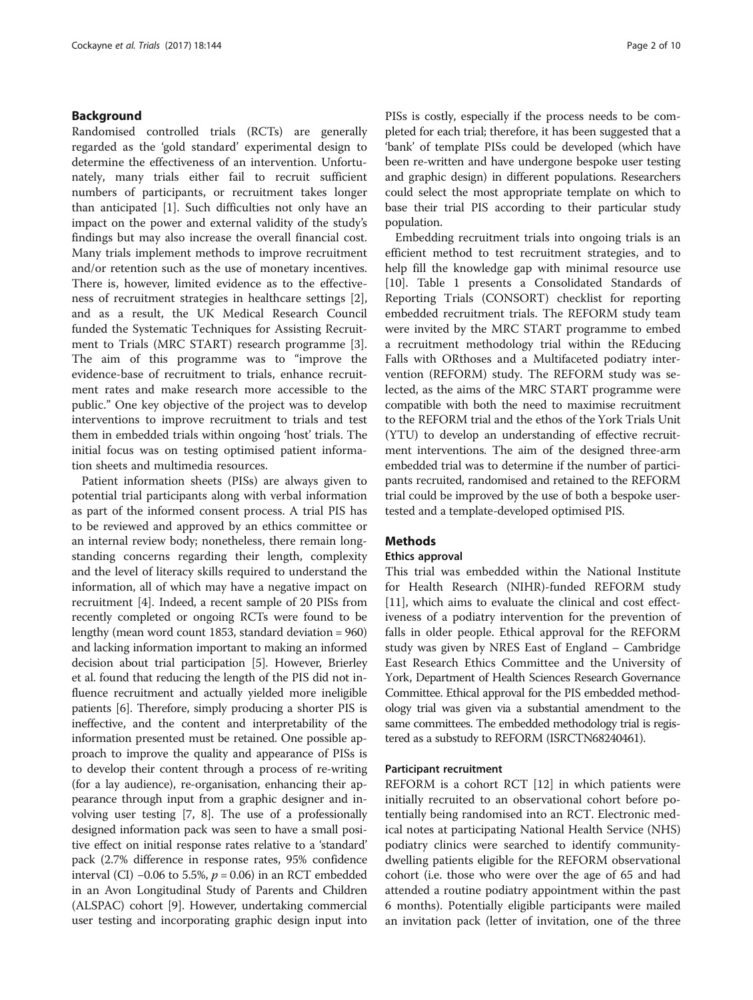## Background

Randomised controlled trials (RCTs) are generally regarded as the 'gold standard' experimental design to determine the effectiveness of an intervention. Unfortunately, many trials either fail to recruit sufficient numbers of participants, or recruitment takes longer than anticipated [[1\]](#page-10-0). Such difficulties not only have an impact on the power and external validity of the study's findings but may also increase the overall financial cost. Many trials implement methods to improve recruitment and/or retention such as the use of monetary incentives. There is, however, limited evidence as to the effectiveness of recruitment strategies in healthcare settings [\[2](#page-10-0)], and as a result, the UK Medical Research Council funded the Systematic Techniques for Assisting Recruitment to Trials (MRC START) research programme [\[3](#page-10-0)]. The aim of this programme was to "improve the evidence-base of recruitment to trials, enhance recruitment rates and make research more accessible to the public." One key objective of the project was to develop interventions to improve recruitment to trials and test them in embedded trials within ongoing 'host' trials. The initial focus was on testing optimised patient information sheets and multimedia resources.

Patient information sheets (PISs) are always given to potential trial participants along with verbal information as part of the informed consent process. A trial PIS has to be reviewed and approved by an ethics committee or an internal review body; nonetheless, there remain longstanding concerns regarding their length, complexity and the level of literacy skills required to understand the information, all of which may have a negative impact on recruitment [\[4\]](#page-10-0). Indeed, a recent sample of 20 PISs from recently completed or ongoing RCTs were found to be lengthy (mean word count 1853, standard deviation = 960) and lacking information important to making an informed decision about trial participation [\[5](#page-10-0)]. However, Brierley et al. found that reducing the length of the PIS did not influence recruitment and actually yielded more ineligible patients [[6\]](#page-10-0). Therefore, simply producing a shorter PIS is ineffective, and the content and interpretability of the information presented must be retained. One possible approach to improve the quality and appearance of PISs is to develop their content through a process of re-writing (for a lay audience), re-organisation, enhancing their appearance through input from a graphic designer and involving user testing [\[7](#page-10-0), [8](#page-10-0)]. The use of a professionally designed information pack was seen to have a small positive effect on initial response rates relative to a 'standard' pack (2.7% difference in response rates, 95% confidence interval (CI) −0.06 to 5.5%,  $p = 0.06$ ) in an RCT embedded in an Avon Longitudinal Study of Parents and Children (ALSPAC) cohort [[9\]](#page-10-0). However, undertaking commercial user testing and incorporating graphic design input into PISs is costly, especially if the process needs to be completed for each trial; therefore, it has been suggested that a 'bank' of template PISs could be developed (which have been re-written and have undergone bespoke user testing and graphic design) in different populations. Researchers could select the most appropriate template on which to base their trial PIS according to their particular study population.

Embedding recruitment trials into ongoing trials is an efficient method to test recruitment strategies, and to help fill the knowledge gap with minimal resource use [[10\]](#page-10-0). Table [1](#page-3-0) presents a Consolidated Standards of Reporting Trials (CONSORT) checklist for reporting embedded recruitment trials. The REFORM study team were invited by the MRC START programme to embed a recruitment methodology trial within the REducing Falls with ORthoses and a Multifaceted podiatry intervention (REFORM) study. The REFORM study was selected, as the aims of the MRC START programme were compatible with both the need to maximise recruitment to the REFORM trial and the ethos of the York Trials Unit (YTU) to develop an understanding of effective recruitment interventions. The aim of the designed three-arm embedded trial was to determine if the number of participants recruited, randomised and retained to the REFORM trial could be improved by the use of both a bespoke usertested and a template-developed optimised PIS.

## **Methods**

#### Ethics approval

This trial was embedded within the National Institute for Health Research (NIHR)-funded REFORM study [[11\]](#page-10-0), which aims to evaluate the clinical and cost effectiveness of a podiatry intervention for the prevention of falls in older people. Ethical approval for the REFORM study was given by NRES East of England – Cambridge East Research Ethics Committee and the University of York, Department of Health Sciences Research Governance Committee. Ethical approval for the PIS embedded methodology trial was given via a substantial amendment to the same committees. The embedded methodology trial is registered as a substudy to REFORM (ISRCTN68240461).

#### Participant recruitment

REFORM is a cohort RCT [\[12\]](#page-10-0) in which patients were initially recruited to an observational cohort before potentially being randomised into an RCT. Electronic medical notes at participating National Health Service (NHS) podiatry clinics were searched to identify communitydwelling patients eligible for the REFORM observational cohort (i.e. those who were over the age of 65 and had attended a routine podiatry appointment within the past 6 months). Potentially eligible participants were mailed an invitation pack (letter of invitation, one of the three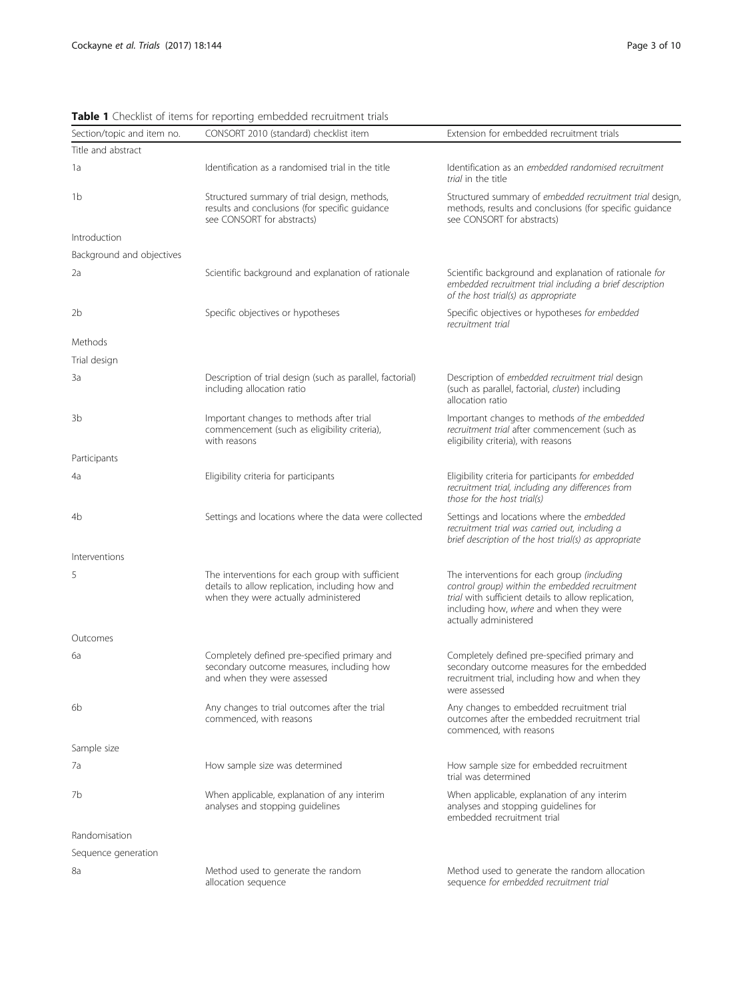| Section/topic and item no. | <b>Table I</b> Checking of Refins for reporting embedded recruitment thats<br>CONSORT 2010 (standard) checklist item                                                                                                                                                                                                                                                    | Extension for embedded recruitment trials                                                                                                                      |  |  |
|----------------------------|-------------------------------------------------------------------------------------------------------------------------------------------------------------------------------------------------------------------------------------------------------------------------------------------------------------------------------------------------------------------------|----------------------------------------------------------------------------------------------------------------------------------------------------------------|--|--|
| Title and abstract         |                                                                                                                                                                                                                                                                                                                                                                         |                                                                                                                                                                |  |  |
| 1a                         | Identification as a randomised trial in the title                                                                                                                                                                                                                                                                                                                       | Identification as an embedded randomised recruitment<br>trial in the title                                                                                     |  |  |
| 1b                         | Structured summary of trial design, methods,<br>results and conclusions (for specific guidance<br>see CONSORT for abstracts)                                                                                                                                                                                                                                            | Structured summary of embedded recruitment trial design,<br>methods, results and conclusions (for specific guidance<br>see CONSORT for abstracts)              |  |  |
| Introduction               |                                                                                                                                                                                                                                                                                                                                                                         |                                                                                                                                                                |  |  |
| Background and objectives  |                                                                                                                                                                                                                                                                                                                                                                         |                                                                                                                                                                |  |  |
| 2a                         | Scientific background and explanation of rationale                                                                                                                                                                                                                                                                                                                      | Scientific background and explanation of rationale for<br>embedded recruitment trial including a brief description<br>of the host trial(s) as appropriate      |  |  |
| 2b                         | Specific objectives or hypotheses<br>Specific objectives or hypotheses for embedded<br>recruitment trial                                                                                                                                                                                                                                                                |                                                                                                                                                                |  |  |
| Methods                    |                                                                                                                                                                                                                                                                                                                                                                         |                                                                                                                                                                |  |  |
| Trial design               |                                                                                                                                                                                                                                                                                                                                                                         |                                                                                                                                                                |  |  |
| Зa                         | Description of trial design (such as parallel, factorial)<br>including allocation ratio                                                                                                                                                                                                                                                                                 | Description of embedded recruitment trial design<br>(such as parallel, factorial, cluster) including<br>allocation ratio                                       |  |  |
| 3b                         | Important changes to methods after trial<br>commencement (such as eligibility criteria),<br>with reasons                                                                                                                                                                                                                                                                | Important changes to methods of the embedded<br>recruitment trial after commencement (such as<br>eligibility criteria), with reasons                           |  |  |
| Participants               |                                                                                                                                                                                                                                                                                                                                                                         |                                                                                                                                                                |  |  |
| 4a                         | Eligibility criteria for participants                                                                                                                                                                                                                                                                                                                                   | Eligibility criteria for participants for embedded<br>recruitment trial, including any differences from<br>those for the host trial(s)                         |  |  |
| 4b                         | Settings and locations where the data were collected                                                                                                                                                                                                                                                                                                                    | Settings and locations where the embedded<br>recruitment trial was carried out, including a<br>brief description of the host trial(s) as appropriate           |  |  |
| Interventions              |                                                                                                                                                                                                                                                                                                                                                                         |                                                                                                                                                                |  |  |
| 5                          | The interventions for each group with sufficient<br>The interventions for each group (including<br>control group) within the embedded recruitment<br>details to allow replication, including how and<br>when they were actually administered<br>trial with sufficient details to allow replication,<br>including how, where and when they were<br>actually administered |                                                                                                                                                                |  |  |
| Outcomes                   |                                                                                                                                                                                                                                                                                                                                                                         |                                                                                                                                                                |  |  |
| 6а                         | Completely defined pre-specified primary and<br>secondary outcome measures, including how<br>and when they were assessed                                                                                                                                                                                                                                                | Completely defined pre-specified primary and<br>secondary outcome measures for the embedded<br>recruitment trial, including how and when they<br>were assessed |  |  |
| 6b                         | Any changes to trial outcomes after the trial<br>commenced, with reasons                                                                                                                                                                                                                                                                                                | Any changes to embedded recruitment trial<br>outcomes after the embedded recruitment trial<br>commenced, with reasons                                          |  |  |
| Sample size                |                                                                                                                                                                                                                                                                                                                                                                         |                                                                                                                                                                |  |  |
| 7a                         | How sample size was determined                                                                                                                                                                                                                                                                                                                                          | How sample size for embedded recruitment<br>trial was determined                                                                                               |  |  |
| 7b                         | When applicable, explanation of any interim<br>analyses and stopping quidelines                                                                                                                                                                                                                                                                                         | When applicable, explanation of any interim<br>analyses and stopping guidelines for<br>embedded recruitment trial                                              |  |  |
| Randomisation              |                                                                                                                                                                                                                                                                                                                                                                         |                                                                                                                                                                |  |  |
| Sequence generation        |                                                                                                                                                                                                                                                                                                                                                                         |                                                                                                                                                                |  |  |
| 8a                         | Method used to generate the random<br>allocation sequence                                                                                                                                                                                                                                                                                                               | Method used to generate the random allocation<br>sequence for embedded recruitment trial                                                                       |  |  |

<span id="page-3-0"></span>Table 1 Checklist of items for reporting embedded recruitment trials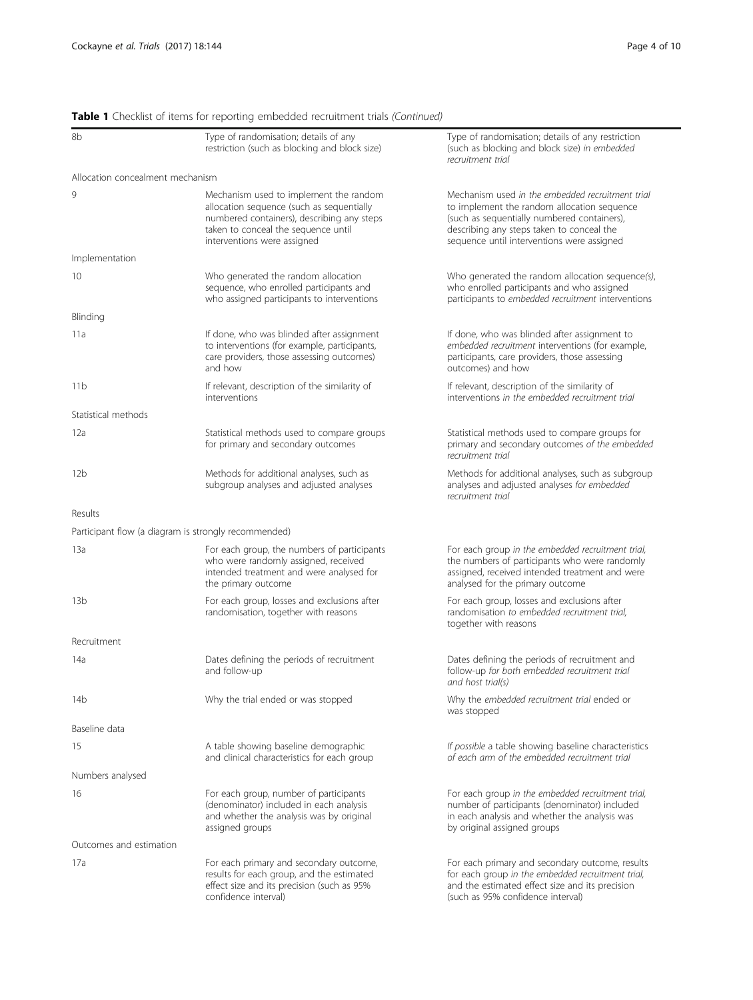# Table 1 Checklist of items for reporting embedded recruitment trials (Continued)

| 8b                               | Type of randomisation; details of any<br>restriction (such as blocking and block size)                                                                                                                                                                                               | Type of randomisation; details of any restriction<br>(such as blocking and block size) in embedded<br>recruitment trial                                                                                                                   |  |  |  |
|----------------------------------|--------------------------------------------------------------------------------------------------------------------------------------------------------------------------------------------------------------------------------------------------------------------------------------|-------------------------------------------------------------------------------------------------------------------------------------------------------------------------------------------------------------------------------------------|--|--|--|
| Allocation concealment mechanism |                                                                                                                                                                                                                                                                                      |                                                                                                                                                                                                                                           |  |  |  |
| 9                                | Mechanism used to implement the random<br>allocation sequence (such as sequentially<br>numbered containers), describing any steps<br>taken to conceal the sequence until<br>interventions were assigned                                                                              | Mechanism used in the embedded recruitment trial<br>to implement the random allocation sequence<br>(such as sequentially numbered containers),<br>describing any steps taken to conceal the<br>sequence until interventions were assigned |  |  |  |
| Implementation                   |                                                                                                                                                                                                                                                                                      |                                                                                                                                                                                                                                           |  |  |  |
| 10                               | Who generated the random allocation<br>Who generated the random allocation sequence(s),<br>sequence, who enrolled participants and<br>who enrolled participants and who assigned<br>who assigned participants to interventions<br>participants to embedded recruitment interventions |                                                                                                                                                                                                                                           |  |  |  |
| Blinding                         |                                                                                                                                                                                                                                                                                      |                                                                                                                                                                                                                                           |  |  |  |
| 11a                              | If done, who was blinded after assignment<br>to interventions (for example, participants,<br>care providers, those assessing outcomes)<br>and how                                                                                                                                    | If done, who was blinded after assignment to<br>embedded recruitment interventions (for example,<br>participants, care providers, those assessing<br>outcomes) and how                                                                    |  |  |  |
| 11b                              | If relevant, description of the similarity of<br>interventions                                                                                                                                                                                                                       | If relevant, description of the similarity of<br>interventions in the embedded recruitment trial                                                                                                                                          |  |  |  |
| Statistical methods              |                                                                                                                                                                                                                                                                                      |                                                                                                                                                                                                                                           |  |  |  |
| 12a                              | Statistical methods used to compare groups<br>for primary and secondary outcomes                                                                                                                                                                                                     | Statistical methods used to compare groups for<br>primary and secondary outcomes of the embedded<br>recruitment trial                                                                                                                     |  |  |  |
| 12b                              | Methods for additional analyses, such as<br>subgroup analyses and adjusted analyses                                                                                                                                                                                                  | Methods for additional analyses, such as subgroup<br>analyses and adjusted analyses for embedded<br>recruitment trial                                                                                                                     |  |  |  |
| Results                          |                                                                                                                                                                                                                                                                                      |                                                                                                                                                                                                                                           |  |  |  |
|                                  | Participant flow (a diagram is strongly recommended)                                                                                                                                                                                                                                 |                                                                                                                                                                                                                                           |  |  |  |
| 13a                              | For each group, the numbers of participants<br>who were randomly assigned, received<br>intended treatment and were analysed for<br>the primary outcome                                                                                                                               | For each group in the embedded recruitment trial,<br>the numbers of participants who were randomly<br>assigned, received intended treatment and were<br>analysed for the primary outcome                                                  |  |  |  |
| 13 <sub>b</sub>                  | For each group, losses and exclusions after<br>randomisation, together with reasons                                                                                                                                                                                                  | For each group, losses and exclusions after<br>randomisation to embedded recruitment trial,<br>together with reasons                                                                                                                      |  |  |  |
| Recruitment                      |                                                                                                                                                                                                                                                                                      |                                                                                                                                                                                                                                           |  |  |  |
| 14a                              | Dates defining the periods of recruitment<br>and follow-up                                                                                                                                                                                                                           | Dates defining the periods of recruitment and<br>follow-up for both embedded recruitment trial<br>and host trial(s)                                                                                                                       |  |  |  |
| 14b                              | Why the trial ended or was stopped                                                                                                                                                                                                                                                   | Why the embedded recruitment trial ended or<br>was stopped                                                                                                                                                                                |  |  |  |
| Baseline data                    |                                                                                                                                                                                                                                                                                      |                                                                                                                                                                                                                                           |  |  |  |
| 15                               | A table showing baseline demographic<br>and clinical characteristics for each group                                                                                                                                                                                                  | If possible a table showing baseline characteristics<br>of each arm of the embedded recruitment trial                                                                                                                                     |  |  |  |
| Numbers analysed                 |                                                                                                                                                                                                                                                                                      |                                                                                                                                                                                                                                           |  |  |  |
| 16                               | For each group, number of participants<br>(denominator) included in each analysis<br>and whether the analysis was by original<br>assigned groups                                                                                                                                     | For each group in the embedded recruitment trial,<br>number of participants (denominator) included<br>in each analysis and whether the analysis was<br>by original assigned groups                                                        |  |  |  |
| Outcomes and estimation          |                                                                                                                                                                                                                                                                                      |                                                                                                                                                                                                                                           |  |  |  |
| 17a                              | For each primary and secondary outcome,<br>results for each group, and the estimated<br>effect size and its precision (such as 95%<br>confidence interval)                                                                                                                           | For each primary and secondary outcome, results<br>for each group in the embedded recruitment trial,<br>and the estimated effect size and its precision<br>(such as 95% confidence interval)                                              |  |  |  |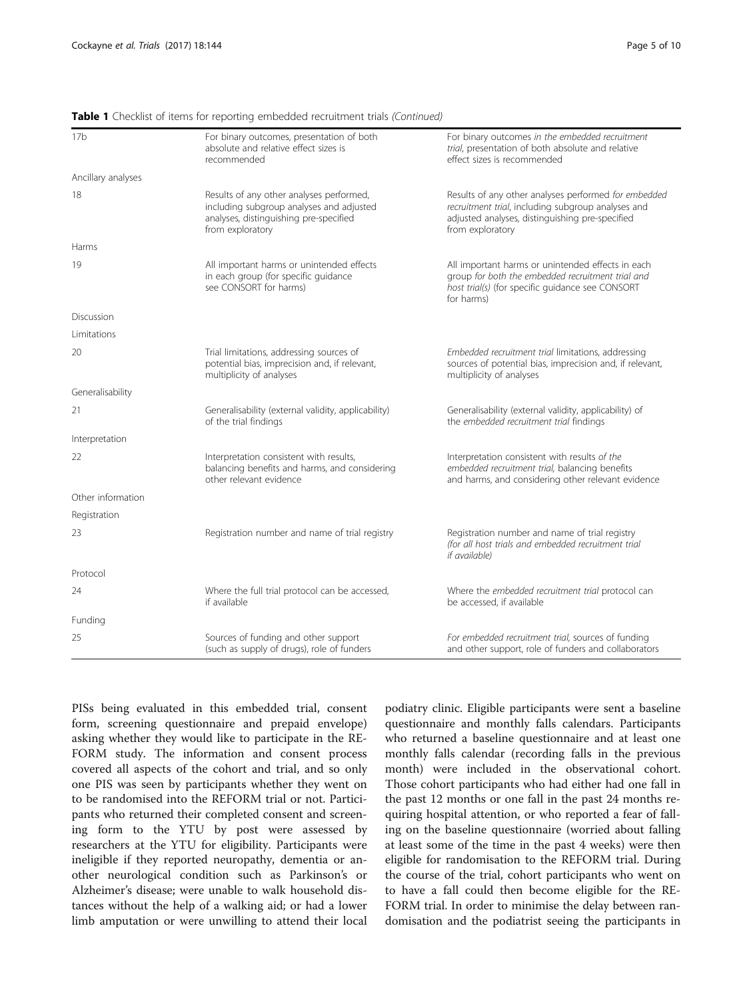| 17 <sub>b</sub>    | For binary outcomes, presentation of both<br>absolute and relative effect sizes is<br>recommended                                                  | For binary outcomes in the embedded recruitment<br>trial, presentation of both absolute and relative<br>effect sizes is recommended                                               |  |  |  |
|--------------------|----------------------------------------------------------------------------------------------------------------------------------------------------|-----------------------------------------------------------------------------------------------------------------------------------------------------------------------------------|--|--|--|
| Ancillary analyses |                                                                                                                                                    |                                                                                                                                                                                   |  |  |  |
| 18                 | Results of any other analyses performed,<br>including subgroup analyses and adjusted<br>analyses, distinguishing pre-specified<br>from exploratory | Results of any other analyses performed for embedded<br>recruitment trial, including subgroup analyses and<br>adjusted analyses, distinguishing pre-specified<br>from exploratory |  |  |  |
| Harms              |                                                                                                                                                    |                                                                                                                                                                                   |  |  |  |
| 19                 | All important harms or unintended effects<br>in each group (for specific guidance<br>see CONSORT for harms)                                        | All important harms or unintended effects in each<br>group for both the embedded recruitment trial and<br>host trial(s) (for specific guidance see CONSORT<br>for harms)          |  |  |  |
| Discussion         |                                                                                                                                                    |                                                                                                                                                                                   |  |  |  |
| Limitations        |                                                                                                                                                    |                                                                                                                                                                                   |  |  |  |
| 20                 | Trial limitations, addressing sources of<br>potential bias, imprecision and, if relevant,<br>multiplicity of analyses                              | Embedded recruitment trial limitations, addressing<br>sources of potential bias, imprecision and, if relevant,<br>multiplicity of analyses                                        |  |  |  |
| Generalisability   |                                                                                                                                                    |                                                                                                                                                                                   |  |  |  |
| 21                 | Generalisability (external validity, applicability)<br>of the trial findings                                                                       | Generalisability (external validity, applicability) of<br>the embedded recruitment trial findings                                                                                 |  |  |  |
| Interpretation     |                                                                                                                                                    |                                                                                                                                                                                   |  |  |  |
| 22                 | Interpretation consistent with results,<br>balancing benefits and harms, and considering<br>other relevant evidence                                | Interpretation consistent with results of the<br>embedded recruitment trial, balancing benefits<br>and harms, and considering other relevant evidence                             |  |  |  |
| Other information  |                                                                                                                                                    |                                                                                                                                                                                   |  |  |  |
| Registration       |                                                                                                                                                    |                                                                                                                                                                                   |  |  |  |
| 23                 | Registration number and name of trial registry                                                                                                     | Registration number and name of trial registry<br>(for all host trials and embedded recruitment trial<br>if available)                                                            |  |  |  |
| Protocol           |                                                                                                                                                    |                                                                                                                                                                                   |  |  |  |
| 24                 | Where the full trial protocol can be accessed,<br>if available                                                                                     | Where the embedded recruitment trial protocol can<br>be accessed, if available                                                                                                    |  |  |  |
| Funding            |                                                                                                                                                    |                                                                                                                                                                                   |  |  |  |
| 25                 | Sources of funding and other support<br>(such as supply of drugs), role of funders                                                                 | For embedded recruitment trial, sources of funding<br>and other support, role of funders and collaborators                                                                        |  |  |  |

Table 1 Checklist of items for reporting embedded recruitment trials (Continued)

PISs being evaluated in this embedded trial, consent form, screening questionnaire and prepaid envelope) asking whether they would like to participate in the RE-FORM study. The information and consent process covered all aspects of the cohort and trial, and so only one PIS was seen by participants whether they went on to be randomised into the REFORM trial or not. Participants who returned their completed consent and screening form to the YTU by post were assessed by researchers at the YTU for eligibility. Participants were ineligible if they reported neuropathy, dementia or another neurological condition such as Parkinson's or Alzheimer's disease; were unable to walk household distances without the help of a walking aid; or had a lower limb amputation or were unwilling to attend their local

podiatry clinic. Eligible participants were sent a baseline questionnaire and monthly falls calendars. Participants who returned a baseline questionnaire and at least one monthly falls calendar (recording falls in the previous month) were included in the observational cohort. Those cohort participants who had either had one fall in the past 12 months or one fall in the past 24 months requiring hospital attention, or who reported a fear of falling on the baseline questionnaire (worried about falling at least some of the time in the past 4 weeks) were then eligible for randomisation to the REFORM trial. During the course of the trial, cohort participants who went on to have a fall could then become eligible for the RE-FORM trial. In order to minimise the delay between randomisation and the podiatrist seeing the participants in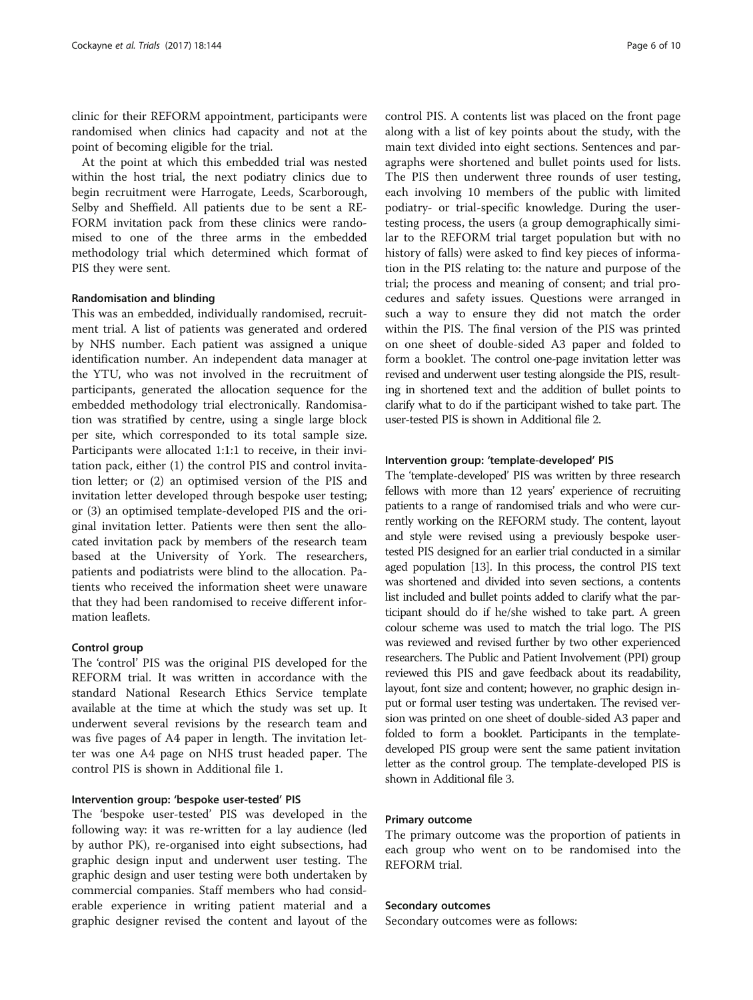clinic for their REFORM appointment, participants were randomised when clinics had capacity and not at the point of becoming eligible for the trial.

At the point at which this embedded trial was nested within the host trial, the next podiatry clinics due to begin recruitment were Harrogate, Leeds, Scarborough, Selby and Sheffield. All patients due to be sent a RE-FORM invitation pack from these clinics were randomised to one of the three arms in the embedded methodology trial which determined which format of PIS they were sent.

#### Randomisation and blinding

This was an embedded, individually randomised, recruitment trial. A list of patients was generated and ordered by NHS number. Each patient was assigned a unique identification number. An independent data manager at the YTU, who was not involved in the recruitment of participants, generated the allocation sequence for the embedded methodology trial electronically. Randomisation was stratified by centre, using a single large block per site, which corresponded to its total sample size. Participants were allocated 1:1:1 to receive, in their invitation pack, either (1) the control PIS and control invitation letter; or (2) an optimised version of the PIS and invitation letter developed through bespoke user testing; or (3) an optimised template-developed PIS and the original invitation letter. Patients were then sent the allocated invitation pack by members of the research team based at the University of York. The researchers, patients and podiatrists were blind to the allocation. Patients who received the information sheet were unaware that they had been randomised to receive different information leaflets.

## Control group

The 'control' PIS was the original PIS developed for the REFORM trial. It was written in accordance with the standard National Research Ethics Service template available at the time at which the study was set up. It underwent several revisions by the research team and was five pages of A4 paper in length. The invitation letter was one A4 page on NHS trust headed paper. The control PIS is shown in Additional file [1.](#page-9-0)

## Intervention group: 'bespoke user-tested' PIS

The 'bespoke user-tested' PIS was developed in the following way: it was re-written for a lay audience (led by author PK), re-organised into eight subsections, had graphic design input and underwent user testing. The graphic design and user testing were both undertaken by commercial companies. Staff members who had considerable experience in writing patient material and a graphic designer revised the content and layout of the

control PIS. A contents list was placed on the front page along with a list of key points about the study, with the main text divided into eight sections. Sentences and paragraphs were shortened and bullet points used for lists. The PIS then underwent three rounds of user testing, each involving 10 members of the public with limited podiatry- or trial-specific knowledge. During the usertesting process, the users (a group demographically similar to the REFORM trial target population but with no history of falls) were asked to find key pieces of information in the PIS relating to: the nature and purpose of the trial; the process and meaning of consent; and trial procedures and safety issues. Questions were arranged in such a way to ensure they did not match the order within the PIS. The final version of the PIS was printed on one sheet of double-sided A3 paper and folded to form a booklet. The control one-page invitation letter was revised and underwent user testing alongside the PIS, resulting in shortened text and the addition of bullet points to clarify what to do if the participant wished to take part. The user-tested PIS is shown in Additional file [2](#page-9-0).

## Intervention group: 'template-developed' PIS

The 'template-developed' PIS was written by three research fellows with more than 12 years' experience of recruiting patients to a range of randomised trials and who were currently working on the REFORM study. The content, layout and style were revised using a previously bespoke usertested PIS designed for an earlier trial conducted in a similar aged population [\[13](#page-10-0)]. In this process, the control PIS text was shortened and divided into seven sections, a contents list included and bullet points added to clarify what the participant should do if he/she wished to take part. A green colour scheme was used to match the trial logo. The PIS was reviewed and revised further by two other experienced researchers. The Public and Patient Involvement (PPI) group reviewed this PIS and gave feedback about its readability, layout, font size and content; however, no graphic design input or formal user testing was undertaken. The revised version was printed on one sheet of double-sided A3 paper and folded to form a booklet. Participants in the templatedeveloped PIS group were sent the same patient invitation letter as the control group. The template-developed PIS is shown in Additional file [3.](#page-9-0)

#### Primary outcome

The primary outcome was the proportion of patients in each group who went on to be randomised into the REFORM trial.

#### Secondary outcomes

Secondary outcomes were as follows: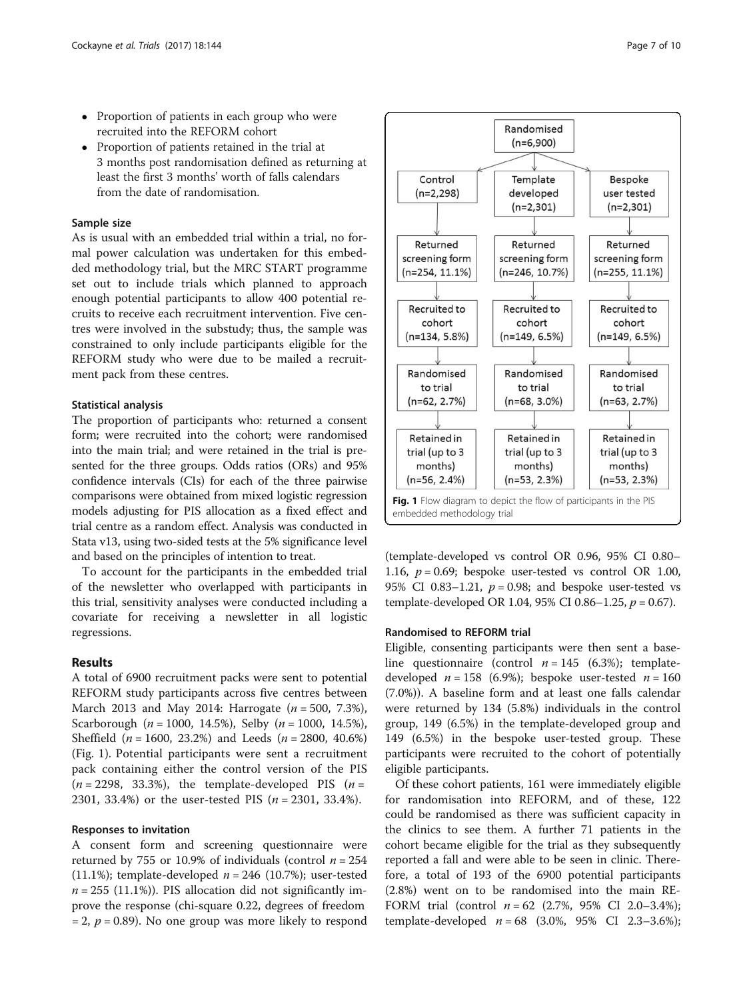- Proportion of patients in each group who were recruited into the REFORM cohort
- Proportion of patients retained in the trial at 3 months post randomisation defined as returning at least the first 3 months' worth of falls calendars from the date of randomisation.

#### Sample size

As is usual with an embedded trial within a trial, no formal power calculation was undertaken for this embedded methodology trial, but the MRC START programme set out to include trials which planned to approach enough potential participants to allow 400 potential recruits to receive each recruitment intervention. Five centres were involved in the substudy; thus, the sample was constrained to only include participants eligible for the REFORM study who were due to be mailed a recruitment pack from these centres.

#### Statistical analysis

The proportion of participants who: returned a consent form; were recruited into the cohort; were randomised into the main trial; and were retained in the trial is presented for the three groups. Odds ratios (ORs) and 95% confidence intervals (CIs) for each of the three pairwise comparisons were obtained from mixed logistic regression models adjusting for PIS allocation as a fixed effect and trial centre as a random effect. Analysis was conducted in Stata v13, using two-sided tests at the 5% significance level and based on the principles of intention to treat.

To account for the participants in the embedded trial of the newsletter who overlapped with participants in this trial, sensitivity analyses were conducted including a covariate for receiving a newsletter in all logistic regressions.

#### Results

A total of 6900 recruitment packs were sent to potential REFORM study participants across five centres between March 2013 and May 2014: Harrogate ( $n = 500, 7.3\%$ ), Scarborough ( $n = 1000, 14.5\%$ ), Selby ( $n = 1000, 14.5\%$ ), Sheffield  $(n = 1600, 23.2\%)$  and Leeds  $(n = 2800, 40.6\%)$ (Fig. 1). Potential participants were sent a recruitment pack containing either the control version of the PIS  $(n = 2298, 33.3\%)$ , the template-developed PIS  $(n =$ 2301, 33.4%) or the user-tested PIS ( $n = 2301, 33.4\%$ ).

#### Responses to invitation

A consent form and screening questionnaire were returned by 755 or 10.9% of individuals (control  $n = 254$ (11.1%); template-developed  $n = 246$  (10.7%); user-tested  $n = 255$  (11.1%)). PIS allocation did not significantly improve the response (chi-square 0.22, degrees of freedom  $= 2, p = 0.89$ . No one group was more likely to respond



(template-developed vs control OR 0.96, 95% CI 0.80– 1.16,  $p = 0.69$ ; bespoke user-tested vs control OR 1.00, 95% CI 0.83-1.21,  $p = 0.98$ ; and bespoke user-tested vs template-developed OR 1.04, 95% CI 0.86-1.25,  $p = 0.67$ ).

#### Randomised to REFORM trial

Eligible, consenting participants were then sent a baseline questionnaire (control  $n = 145$  (6.3%); templatedeveloped  $n = 158$  (6.9%); bespoke user-tested  $n = 160$ (7.0%)). A baseline form and at least one falls calendar were returned by 134 (5.8%) individuals in the control group, 149 (6.5%) in the template-developed group and 149 (6.5%) in the bespoke user-tested group. These participants were recruited to the cohort of potentially eligible participants.

Of these cohort patients, 161 were immediately eligible for randomisation into REFORM, and of these, 122 could be randomised as there was sufficient capacity in the clinics to see them. A further 71 patients in the cohort became eligible for the trial as they subsequently reported a fall and were able to be seen in clinic. Therefore, a total of 193 of the 6900 potential participants (2.8%) went on to be randomised into the main RE-FORM trial (control  $n = 62$  (2.7%, 95% CI 2.0–3.4%); template-developed  $n = 68$  (3.0%, 95% CI 2.3–3.6%);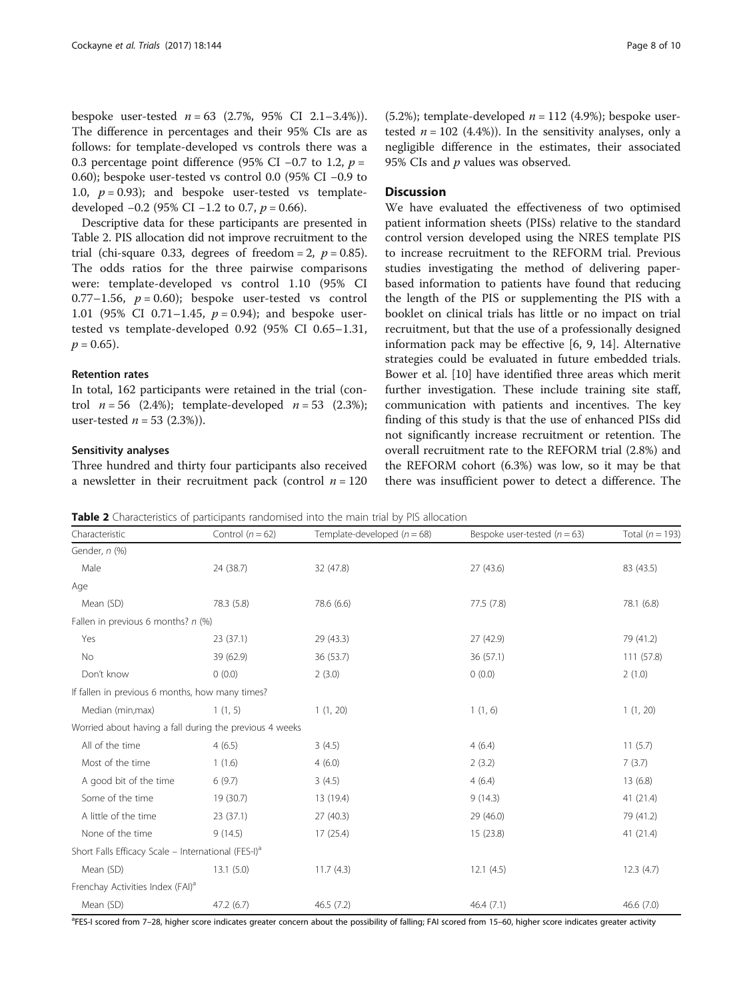bespoke user-tested  $n = 63$  (2.7%, 95% CI 2.1-3.4%)). The difference in percentages and their 95% CIs are as follows: for template-developed vs controls there was a 0.3 percentage point difference (95% CI –0.7 to 1.2,  $p =$ 0.60); bespoke user-tested vs control 0.0 (95% CI −0.9 to 1.0,  $p = 0.93$ ); and bespoke user-tested vs templatedeveloped  $-0.2$  (95% CI  $-1.2$  to 0.7,  $p = 0.66$ ).

Descriptive data for these participants are presented in Table 2. PIS allocation did not improve recruitment to the trial (chi-square 0.33, degrees of freedom = 2,  $p = 0.85$ ). The odds ratios for the three pairwise comparisons were: template-developed vs control 1.10 (95% CI 0.77–1.56,  $p = 0.60$ ; bespoke user-tested vs control 1.01 (95% CI 0.71–1.45,  $p = 0.94$ ); and bespoke usertested vs template-developed 0.92 (95% CI 0.65–1.31,  $p = 0.65$ ).

# Retention rates

In total, 162 participants were retained in the trial (control  $n = 56$  (2.4%); template-developed  $n = 53$  (2.3%); user-tested  $n = 53$  (2.3%)).

#### Sensitivity analyses

Three hundred and thirty four participants also received a newsletter in their recruitment pack (control  $n = 120$ 

(5.2%); template-developed  $n = 112$  (4.9%); bespoke usertested  $n = 102$  (4.4%)). In the sensitivity analyses, only a negligible difference in the estimates, their associated 95% CIs and  $p$  values was observed.

## **Discussion**

We have evaluated the effectiveness of two optimised patient information sheets (PISs) relative to the standard control version developed using the NRES template PIS to increase recruitment to the REFORM trial. Previous studies investigating the method of delivering paperbased information to patients have found that reducing the length of the PIS or supplementing the PIS with a booklet on clinical trials has little or no impact on trial recruitment, but that the use of a professionally designed information pack may be effective [\[6](#page-10-0), [9, 14](#page-10-0)]. Alternative strategies could be evaluated in future embedded trials. Bower et al. [[10](#page-10-0)] have identified three areas which merit further investigation. These include training site staff, communication with patients and incentives. The key finding of this study is that the use of enhanced PISs did not significantly increase recruitment or retention. The overall recruitment rate to the REFORM trial (2.8%) and the REFORM cohort (6.3%) was low, so it may be that icient power to detect a difference. The

Table 2 Characteristics of participants randomised into the main trial by PIS allocation

Characteristic Control  $(n = 62)$  Template-developed  $(n = 68)$  Bespoke user-tested  $(n = 63)$  Total  $(n = 193)$ Gender, n (%) Male 24 (38.7) 32 (47.8) 32 (47.8) 27 (43.6) 32 (43.5) Age Mean (SD) 78.3 (5.8) 78.3 (5.8) 78.6 (6.6) 77.5 (7.8) 77.5 (7.8) 78.1 (6.8) Fallen in previous 6 months?  $n$  (%) Yes 23 (37.1) 29 (43.3) 27 (42.9) 79 (41.2) No 39 (62.9) 36 (53.7) 36 (53.7) 36 (57.1) 36 (57.1) 111 (57.8) Don't know 0 (0.0) 2 (3.0) 0 (0.0) 2 (1.0) If fallen in previous 6 months, how many times? Median (min,max) 1 (1, 5) 1 (1, 20) 1 (1, 20) 1 (1, 6) 1 (1, 20) Worried about having a fall during the previous 4 weeks All of the time  $4 \times (6.5)$   $3 \times (4.5)$   $4 \times (6.4)$   $11 \times (5.7)$ Most of the time 1 (1.6) 4 (6.0) 4 (6.0) 2 (3.2) 7 (3.7) A good bit of the time 6 (9.7) 3 (4.5) 3 (4.5) 4 (6.4) 4 (6.4) 13 (6.8) Some of the time 19 (30.7) 13 (19.4) 9 (14.3) 41 (21.4) A little of the time 23 (37.1) 27 (40.3) 29 (46.0) 79 (41.2) None of the time 9 (14.5) 17 (25.4) 15 (23.8) 41 (21.4) Short Falls Efficacy Scale – International (FES-I)<sup>a</sup> Mean (SD) 13.1 (5.0) 11.7 (4.3) 12.1 (4.5) 12.3 (4.7) Frenchay Activities Index (FAI)<sup>a</sup> Mean (SD) 47.2 (6.7) 46.5 (7.2) 46.4 (7.1) 46.4 (7.1) 46.6 (7.0)

<sup>a</sup>FES-I scored from 7–28, higher score indicates greater concern about the possibility of falling; FAI scored from 15–60, higher score indicates greater activity

| a newsletter in their recruitment pack (control $n = 120$ |  |  |  | there was insuffi |
|-----------------------------------------------------------|--|--|--|-------------------|
|                                                           |  |  |  |                   |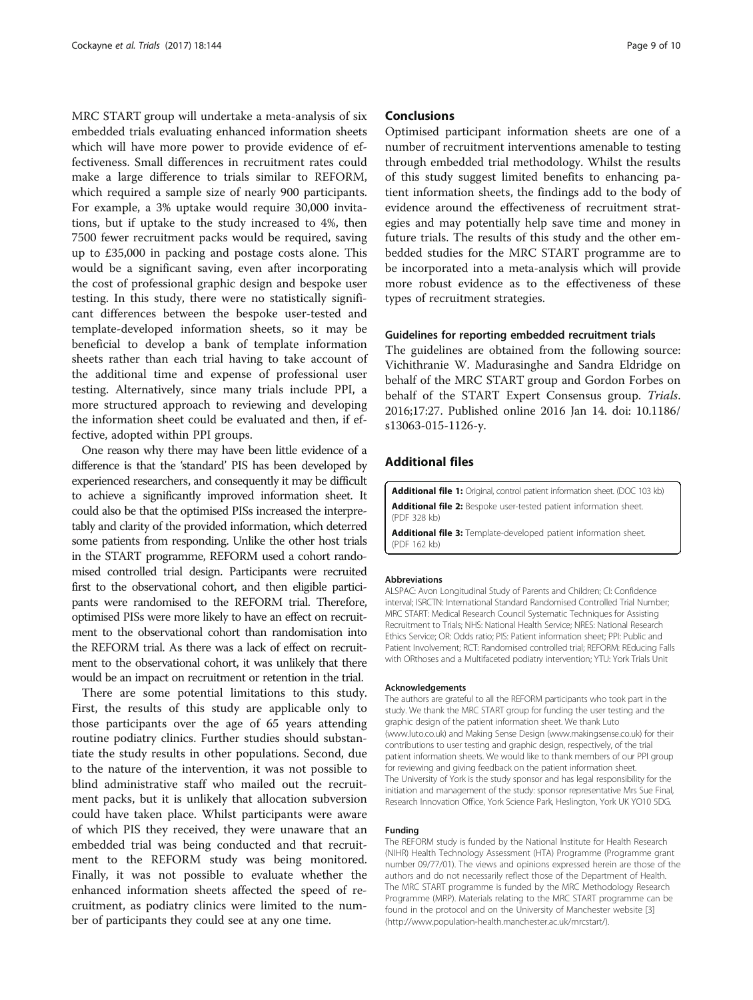<span id="page-9-0"></span>MRC START group will undertake a meta-analysis of six embedded trials evaluating enhanced information sheets which will have more power to provide evidence of effectiveness. Small differences in recruitment rates could make a large difference to trials similar to REFORM, which required a sample size of nearly 900 participants. For example, a 3% uptake would require 30,000 invitations, but if uptake to the study increased to 4%, then 7500 fewer recruitment packs would be required, saving up to £35,000 in packing and postage costs alone. This would be a significant saving, even after incorporating the cost of professional graphic design and bespoke user testing. In this study, there were no statistically significant differences between the bespoke user-tested and template-developed information sheets, so it may be beneficial to develop a bank of template information sheets rather than each trial having to take account of the additional time and expense of professional user testing. Alternatively, since many trials include PPI, a more structured approach to reviewing and developing the information sheet could be evaluated and then, if effective, adopted within PPI groups.

One reason why there may have been little evidence of a difference is that the 'standard' PIS has been developed by experienced researchers, and consequently it may be difficult to achieve a significantly improved information sheet. It could also be that the optimised PISs increased the interpretably and clarity of the provided information, which deterred some patients from responding. Unlike the other host trials in the START programme, REFORM used a cohort randomised controlled trial design. Participants were recruited first to the observational cohort, and then eligible participants were randomised to the REFORM trial. Therefore, optimised PISs were more likely to have an effect on recruitment to the observational cohort than randomisation into the REFORM trial. As there was a lack of effect on recruitment to the observational cohort, it was unlikely that there would be an impact on recruitment or retention in the trial.

There are some potential limitations to this study. First, the results of this study are applicable only to those participants over the age of 65 years attending routine podiatry clinics. Further studies should substantiate the study results in other populations. Second, due to the nature of the intervention, it was not possible to blind administrative staff who mailed out the recruitment packs, but it is unlikely that allocation subversion could have taken place. Whilst participants were aware of which PIS they received, they were unaware that an embedded trial was being conducted and that recruitment to the REFORM study was being monitored. Finally, it was not possible to evaluate whether the enhanced information sheets affected the speed of recruitment, as podiatry clinics were limited to the number of participants they could see at any one time.

## **Conclusions**

Optimised participant information sheets are one of a number of recruitment interventions amenable to testing through embedded trial methodology. Whilst the results of this study suggest limited benefits to enhancing patient information sheets, the findings add to the body of evidence around the effectiveness of recruitment strategies and may potentially help save time and money in future trials. The results of this study and the other embedded studies for the MRC START programme are to be incorporated into a meta-analysis which will provide more robust evidence as to the effectiveness of these types of recruitment strategies.

#### Guidelines for reporting embedded recruitment trials

The guidelines are obtained from the following source: Vichithranie W. Madurasinghe and Sandra Eldridge on behalf of the MRC START group and Gordon Forbes on behalf of the START Expert Consensus group. Trials. 2016;17:27. Published online 2016 Jan 14. doi: [10.1186/](http://dx.doi.org/10.1186/s13063-015-1126-y) [s13063-015-1126-y.](http://dx.doi.org/10.1186/s13063-015-1126-y)

#### Additional files

[Additional file 1:](dx.doi.org/10.1186/s13063-017-1797-7) Original, control patient information sheet. (DOC 103 kb) [Additional file 2:](dx.doi.org/10.1186/s13063-017-1797-7) Bespoke user-tested patient information sheet. (PDF 328 kb)

[Additional file 3:](dx.doi.org/10.1186/s13063-017-1797-7) Template-developed patient information sheet. (PDF 162 kb)

#### Abbreviations

ALSPAC: Avon Longitudinal Study of Parents and Children; CI: Confidence interval; ISRCTN: International Standard Randomised Controlled Trial Number; MRC START: Medical Research Council Systematic Techniques for Assisting Recruitment to Trials; NHS: National Health Service; NRES: National Research Ethics Service; OR: Odds ratio; PIS: Patient information sheet; PPI: Public and Patient Involvement; RCT: Randomised controlled trial; REFORM: REducing Falls with ORthoses and a Multifaceted podiatry intervention; YTU: York Trials Unit

#### Acknowledgements

The authors are grateful to all the REFORM participants who took part in the study. We thank the MRC START group for funding the user testing and the graphic design of the patient information sheet. We thank Luto ([www.luto.co.uk](http://www.luto.co.uk/)) and Making Sense Design ([www.makingsense.co.uk](http://www.makingsense.co.uk/)) for their contributions to user testing and graphic design, respectively, of the trial patient information sheets. We would like to thank members of our PPI group for reviewing and giving feedback on the patient information sheet. The University of York is the study sponsor and has legal responsibility for the initiation and management of the study: sponsor representative Mrs Sue Final, Research Innovation Office, York Science Park, Heslington, York UK YO10 5DG.

#### Funding

The REFORM study is funded by the National Institute for Health Research (NIHR) Health Technology Assessment (HTA) Programme (Programme grant number 09/77/01). The views and opinions expressed herein are those of the authors and do not necessarily reflect those of the Department of Health. The MRC START programme is funded by the MRC Methodology Research Programme (MRP). Materials relating to the MRC START programme can be found in the protocol and on the University of Manchester website [[3](#page-10-0)] ([http://www.population-health.manchester.ac.uk/mrcstart/\)](http://www.population-health.manchester.ac.uk/mrcstart/).